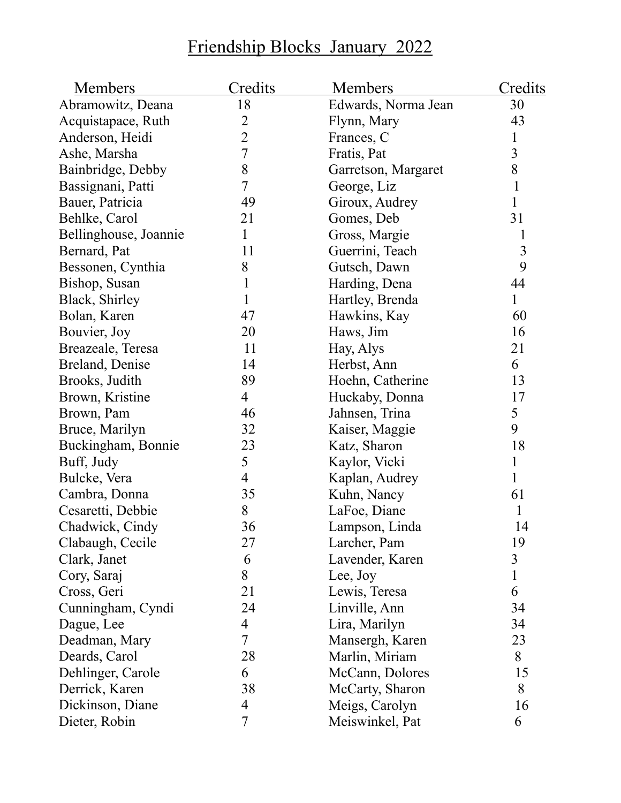## Friendship Blocks January 2022

| Members               | <u>Credits</u> | <u>Members</u>      | <u>Credits</u> |
|-----------------------|----------------|---------------------|----------------|
| Abramowitz, Deana     | 18             | Edwards, Norma Jean | 30             |
| Acquistapace, Ruth    |                | Flynn, Mary         | 43             |
| Anderson, Heidi       | $\frac{2}{2}$  | Frances, C          | $\mathbf{1}$   |
| Ashe, Marsha          | $\overline{7}$ | Fratis, Pat         | $\overline{3}$ |
| Bainbridge, Debby     | 8              | Garretson, Margaret | 8              |
| Bassignani, Patti     | 7              | George, Liz         | $\mathbf{1}$   |
| Bauer, Patricia       | 49             | Giroux, Audrey      | $\mathbf{1}$   |
| Behlke, Carol         | 21             | Gomes, Deb          | 31             |
| Bellinghouse, Joannie | 1              | Gross, Margie       |                |
| Bernard, Pat          | 11             | Guerrini, Teach     | $\mathfrak{Z}$ |
| Bessonen, Cynthia     | 8              | Gutsch, Dawn        | 9              |
| Bishop, Susan         | 1              | Harding, Dena       | 44             |
| Black, Shirley        | 1              | Hartley, Brenda     | $\mathbf{1}$   |
| Bolan, Karen          | 47             | Hawkins, Kay        | 60             |
| Bouvier, Joy          | 20             | Haws, Jim           | 16             |
| Breazeale, Teresa     | 11             | Hay, Alys           | 21             |
| Breland, Denise       | 14             | Herbst, Ann         | 6              |
| Brooks, Judith        | 89             | Hoehn, Catherine    | 13             |
| Brown, Kristine       | 4              | Huckaby, Donna      | 17             |
| Brown, Pam            | 46             | Jahnsen, Trina      | 5              |
| Bruce, Marilyn        | 32             | Kaiser, Maggie      | 9              |
| Buckingham, Bonnie    | 23             | Katz, Sharon        | 18             |
| Buff, Judy            | 5              | Kaylor, Vicki       | $\mathbf{1}$   |
| Bulcke, Vera          | 4              | Kaplan, Audrey      | $\mathbf{1}$   |
| Cambra, Donna         | 35             | Kuhn, Nancy         | 61             |
| Cesaretti, Debbie     | 8              | LaFoe, Diane        | 1              |
| Chadwick, Cindy       | 36             | Lampson, Linda      | 14             |
| Clabaugh, Cecile      | 27             | Larcher, Pam        | 19             |
| Clark, Janet          | 6              | Lavender, Karen     | 3              |
| Cory, Saraj           | 8              | Lee, Joy            | $\mathbf{1}$   |
| Cross, Geri           | 21             | Lewis, Teresa       | 6              |
| Cunningham, Cyndi     | 24             | Linville, Ann       | 34             |
| Dague, Lee            | 4              | Lira, Marilyn       | 34             |
| Deadman, Mary         | 7              | Mansergh, Karen     | 23             |
| Deards, Carol         | 28             | Marlin, Miriam      | 8              |
| Dehlinger, Carole     | 6              | McCann, Dolores     | 15             |
| Derrick, Karen        | 38             | McCarty, Sharon     | 8              |
| Dickinson, Diane      | 4              | Meigs, Carolyn      | 16             |
| Dieter, Robin         | $\overline{7}$ | Meiswinkel, Pat     | 6              |